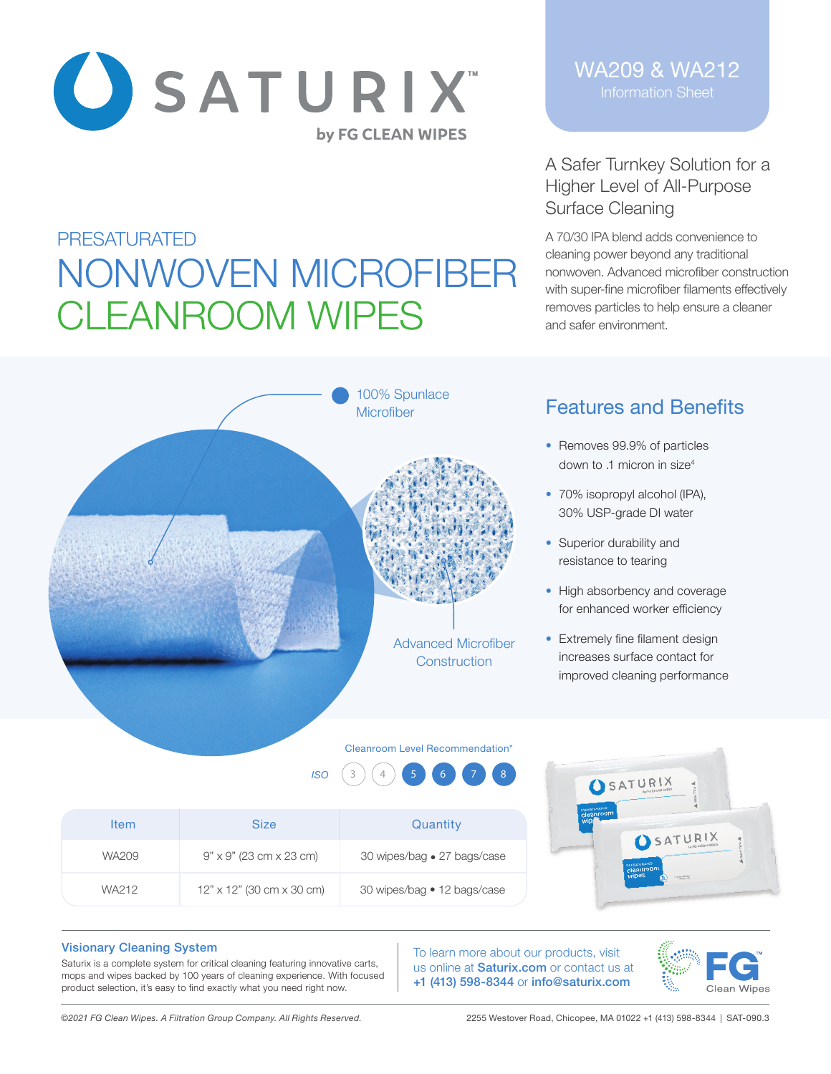

A Safer Turnkey Solution for a Higher Level of All-Purpose Surface Cleaning

A 70/30 IPA blend adds convenience to cleaning power beyond any traditional nonwoven. Advanced microfiber construction with super-fine microfiber filaments effectively removes particles to help ensure a cleaner and safer environment.

# PRESATURATED NONWOVEN MICROFIBER CLEANROOM WIPES



## Features and Benefits

- Removes 99.9% of particles down to .1 micron in size4
- 70% isopropyl alcohol (IPA), 30% USP-grade DI water
- Superior durability and resistance to tearing
- High absorbency and coverage for enhanced worker efficiency
- Extremely fine filament design increases surface contact for improved cleaning performance

**SATURIX** 

#### Cleanroom Level Recommendation\*





### Visionary Cleaning System

Saturix is a complete system for critical cleaning featuring innovative carts, mops and wipes backed by 100 years of cleaning experience. With focused product selection, it's easy to find exactly what you need right now.

To learn more about our products, visit us online at **Saturix.com** or contact us at +1 (413) 598-8344 or info@saturix.com



*©2021 FG Clean Wipes. A Filtration Group Company. All Rights Reserved.* 2255 Westover Road, Chicopee, MA 01022 +1 (413) 598-8344 | SAT-090.3